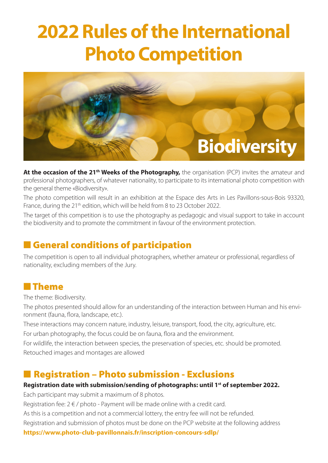# **2022 Rules of the International Photo Competition**



At the occasion of the 21<sup>th</sup> Weeks of the Photography, the organisation (PCP) invites the amateur and professional photographers, of whatever nationality, to participate to its international photo competition with the general theme «Biodiversity».

The photo competition will result in an exhibition at the Espace des Arts in Les Pavillons-sous-Bois 93320, France, during the 21<sup>th</sup> edition, which will be held from 8 to 23 October 2022.

The target of this competition is to use the photography as pedagogic and visual support to take in account the biodiversity and to promote the commitment in favour of the environment protection.

## **n General conditions of participation**

The competition is open to all individual photographers, whether amateur or professional, regardless of nationality, excluding members of the Jury.

### **n** Theme

The theme: Biodiversity.

The photos presented should allow for an understanding of the interaction between Human and his environment (fauna, flora, landscape, etc.).

These interactions may concern nature, industry, leisure, transport, food, the city, agriculture, etc.

For urban photography, the focus could be on fauna, flora and the environment.

For wildlife, the interaction between species, the preservation of species, etc. should be promoted. Retouched images and montages are allowed

## ■ Registration – Photo submission - Exclusions

#### **Registration date with submission/sending of photographs: until 1st of september 2022.**

Each participant may submit a maximum of 8 photos.

Registration fee:  $2 \notin /$  photo - Payment will be made online with a credit card.

As this is a competition and not a commercial lottery, the entry fee will not be refunded.

Registration and submission of photos must be done on the PCP website at the following address

**https://www.photo-club-pavillonnais.fr/inscription-concours-sdlp/**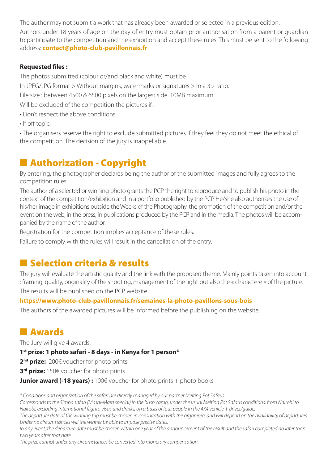The author may not submit a work that has already been awarded or selected in a previous edition.

Authors under 18 years of age on the day of entry must obtain prior authorisation from a parent or guardian to participate to the competition and the exhibition and accept these rules. This must be sent to the following address: **contact@photo-club-pavillonnais.fr**

#### **Requested files :**

The photos submitted (colour or/and black and white) must be :

In JPEG/JPG format > Without margins, watermarks or signatures > In a 3:2 ratio.

File size : between 4500 & 6500 pixels on the largest side. 10MB maximum.

Will be excluded of the competition the pictures if :

- Don't respect the above conditions.
- If off topic.

• The organisers reserve the right to exclude submitted pictures if they feel they do not meet the ethical of the competition. The decision of the jury is inappellable.

# ■ Authorization - Copyright

By entering, the photographer declares being the author of the submitted images and fully agrees to the competition rules.

The author of a selected or winning photo grants the PCP the right to reproduce and to publish his photo in the context of the competition/exhibition and in a portfolio published by the PCP. He/she also authorises the use of his/her image in exhibitions outside the Weeks of the Photography, the promotion of the competition and/or the event on the web, in the press, in publications produced by the PCP and in the media. The photos will be accompanied by the name of the author.

Registration for the competition implies acceptance of these rules.

Failure to comply with the rules will result in the cancellation of the entry.

# **n** Selection criteria & results

The jury will evaluate the artistic quality and the link with the proposed theme. Mainly points taken into account : framing, quality, originality of the shooting, management of the light but also the « charactere » of the picture. The results will be published on the PCP website.

#### **https://www.photo-club-pavillonnais.fr/semaines-la-photo-pavillons-sous-bois**

The authors of the awarded pictures will be informed before the publishing on the website.

## **N** Awards

The Jury will give 4 awards.

**1st prize: 1 photo safari - 8 days - in Kenya for 1 person\***

2<sup>nd</sup> prize: 200€ voucher for photo prints

**3<sup>rd</sup> prize:** 150€ voucher for photo prints

**Junior award (-18 years) :** 100€ voucher for photo prints + photo books

*\* Conditions and organization of the safari are directly managed by our partner Melting Pot Safaris.*

*Corresponds to the Simba safari (Masai-Mara special) in the bush camp, under the usual Melting Pot Safaris conditions: from Nairobi to Nairobi, excluding international flights, visas and drinks, on a basis of four people in the 4X4 vehicle + driver/guide.*

*The departure date of the winning trip must be chosen in consultation with the organisers and will depend on the availability of departures. Under no circumstances will the winner be able to impose precise dates.*

*In any event, the departure date must be chosen within one year of the announcement of the result and the safari completed no later than two years after that date.*

*The prize cannot under any circumstances be converted into monetary compensation.*